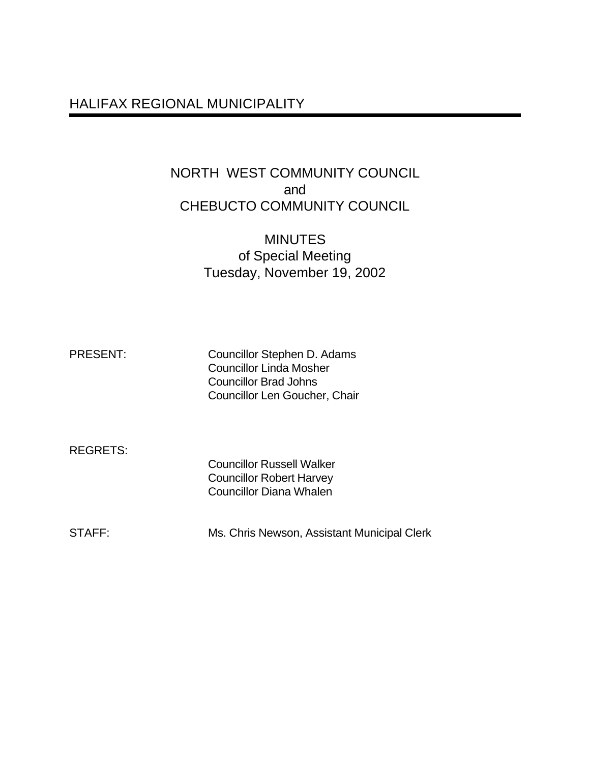## HALIFAX REGIONAL MUNICIPALITY

## NORTH WEST COMMUNITY COUNCIL and CHEBUCTO COMMUNITY COUNCIL

## **MINUTES** of Special Meeting Tuesday, November 19, 2002

| <b>PRESENT:</b> | Councillor Stephen D. Adams    |
|-----------------|--------------------------------|
|                 | <b>Councillor Linda Mosher</b> |
|                 | Councillor Brad Johns          |
|                 | Councillor Len Goucher, Chair  |

REGRETS:

Councillor Russell Walker Councillor Robert Harvey Councillor Diana Whalen

STAFF: Ms. Chris Newson, Assistant Municipal Clerk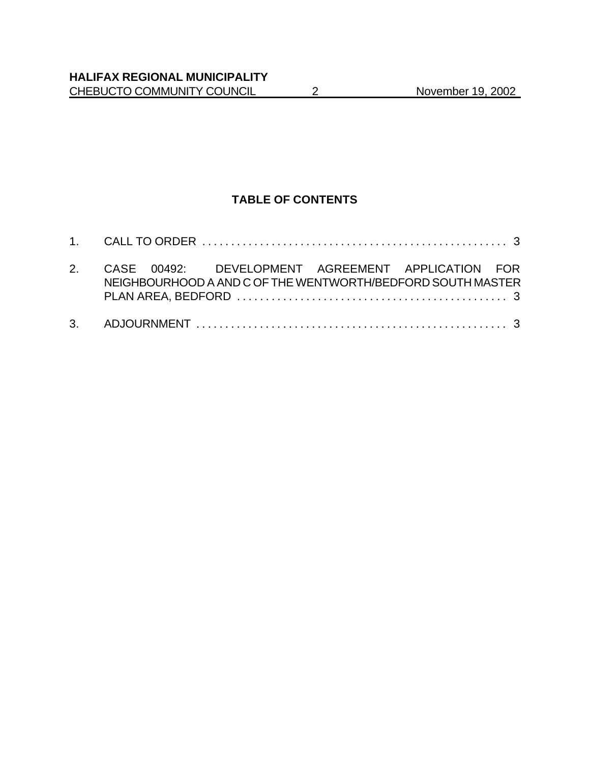## **TABLE OF CONTENTS**

| 2. CASE 00492: DEVELOPMENT AGREEMENT APPLICATION FOR<br>NEIGHBOURHOOD A AND C OF THE WENTWORTH/BEDFORD SOUTH MASTER |  |
|---------------------------------------------------------------------------------------------------------------------|--|
|                                                                                                                     |  |